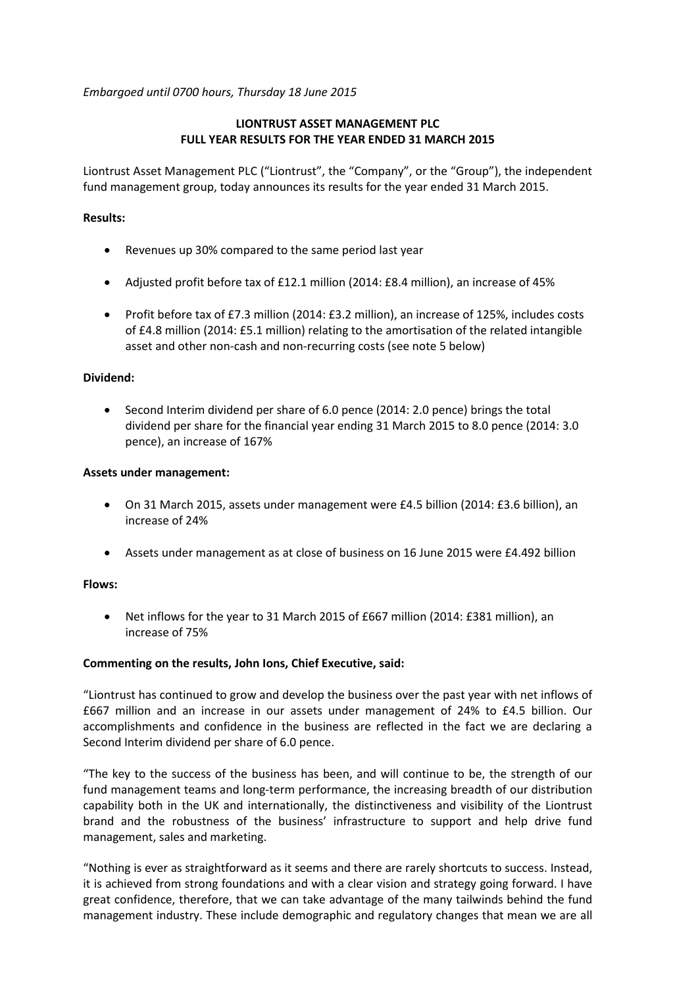*Embargoed until 0700 hours, Thursday 18 June 2015*

# **LIONTRUST ASSET MANAGEMENT PLC FULL YEAR RESULTS FOR THE YEAR ENDED 31 MARCH 2015**

Liontrust Asset Management PLC ("Liontrust", the "Company", or the "Group"), the independent fund management group, today announces its results for the year ended 31 March 2015.

# **Results:**

- Revenues up 30% compared to the same period last year
- Adjusted profit before tax of £12.1 million (2014: £8.4 million), an increase of 45%
- Profit before tax of £7.3 million (2014: £3.2 million), an increase of 125%, includes costs of £4.8 million (2014: £5.1 million) relating to the amortisation of the related intangible asset and other non-cash and non-recurring costs (see note 5 below)

# **Dividend:**

• Second Interim dividend per share of 6.0 pence (2014: 2.0 pence) brings the total dividend per share for the financial year ending 31 March 2015 to 8.0 pence (2014: 3.0 pence), an increase of 167%

## **Assets under management:**

- On 31 March 2015, assets under management were £4.5 billion (2014: £3.6 billion), an increase of 24%
- Assets under management as at close of business on 16 June 2015 were £4.492 billion

## **Flows:**

• Net inflows for the year to 31 March 2015 of £667 million (2014: £381 million), an increase of 75%

## **Commenting on the results, John Ions, Chief Executive, said:**

"Liontrust has continued to grow and develop the business over the past year with net inflows of £667 million and an increase in our assets under management of 24% to £4.5 billion. Our accomplishments and confidence in the business are reflected in the fact we are declaring a Second Interim dividend per share of 6.0 pence.

"The key to the success of the business has been, and will continue to be, the strength of our fund management teams and long-term performance, the increasing breadth of our distribution capability both in the UK and internationally, the distinctiveness and visibility of the Liontrust brand and the robustness of the business' infrastructure to support and help drive fund management, sales and marketing.

"Nothing is ever as straightforward as it seems and there are rarely shortcuts to success. Instead, it is achieved from strong foundations and with a clear vision and strategy going forward. I have great confidence, therefore, that we can take advantage of the many tailwinds behind the fund management industry. These include demographic and regulatory changes that mean we are all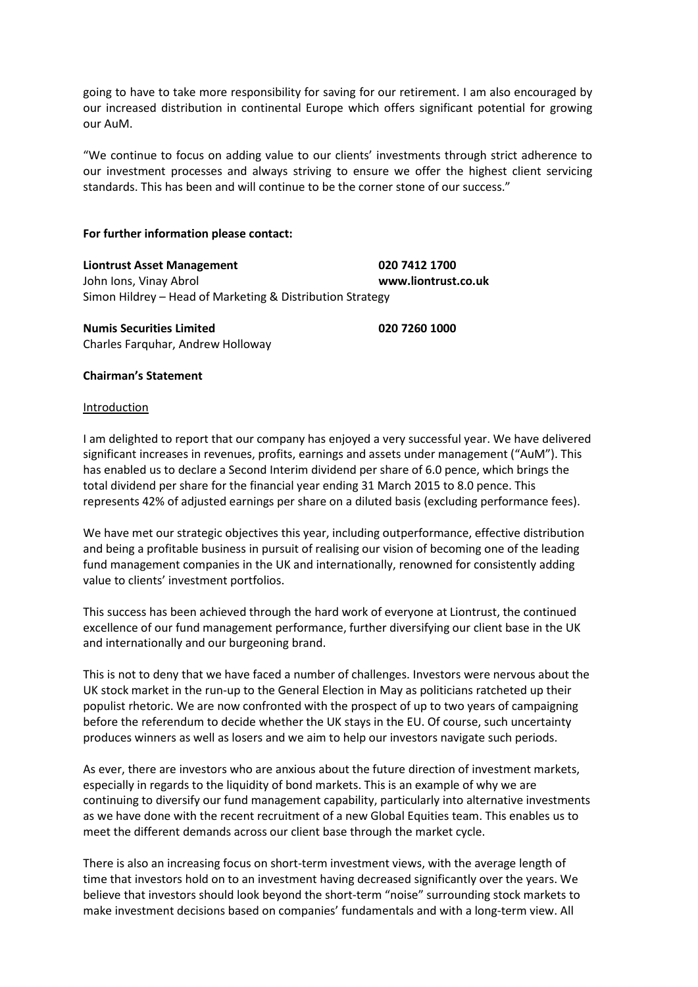going to have to take more responsibility for saving for our retirement. I am also encouraged by our increased distribution in continental Europe which offers significant potential for growing our AuM.

"We continue to focus on adding value to our clients' investments through strict adherence to our investment processes and always striving to ensure we offer the highest client servicing standards. This has been and will continue to be the corner stone of our success."

### **For further information please contact:**

**Liontrust Asset Management 020 7412 1700**  John Ions, Vinay Abrol **www.liontrust.co.uk** Simon Hildrey – Head of Marketing & Distribution Strategy

**Numis Securities Limited 020 7260 1000** Charles Farquhar, Andrew Holloway

### **Chairman's Statement**

### Introduction

I am delighted to report that our company has enjoyed a very successful year. We have delivered significant increases in revenues, profits, earnings and assets under management ("AuM"). This has enabled us to declare a Second Interim dividend per share of 6.0 pence, which brings the total dividend per share for the financial year ending 31 March 2015 to 8.0 pence. This represents 42% of adjusted earnings per share on a diluted basis (excluding performance fees).

We have met our strategic objectives this year, including outperformance, effective distribution and being a profitable business in pursuit of realising our vision of becoming one of the leading fund management companies in the UK and internationally, renowned for consistently adding value to clients' investment portfolios.

This success has been achieved through the hard work of everyone at Liontrust, the continued excellence of our fund management performance, further diversifying our client base in the UK and internationally and our burgeoning brand.

This is not to deny that we have faced a number of challenges. Investors were nervous about the UK stock market in the run-up to the General Election in May as politicians ratcheted up their populist rhetoric. We are now confronted with the prospect of up to two years of campaigning before the referendum to decide whether the UK stays in the EU. Of course, such uncertainty produces winners as well as losers and we aim to help our investors navigate such periods.

As ever, there are investors who are anxious about the future direction of investment markets, especially in regards to the liquidity of bond markets. This is an example of why we are continuing to diversify our fund management capability, particularly into alternative investments as we have done with the recent recruitment of a new Global Equities team. This enables us to meet the different demands across our client base through the market cycle.

There is also an increasing focus on short-term investment views, with the average length of time that investors hold on to an investment having decreased significantly over the years. We believe that investors should look beyond the short-term "noise" surrounding stock markets to make investment decisions based on companies' fundamentals and with a long-term view. All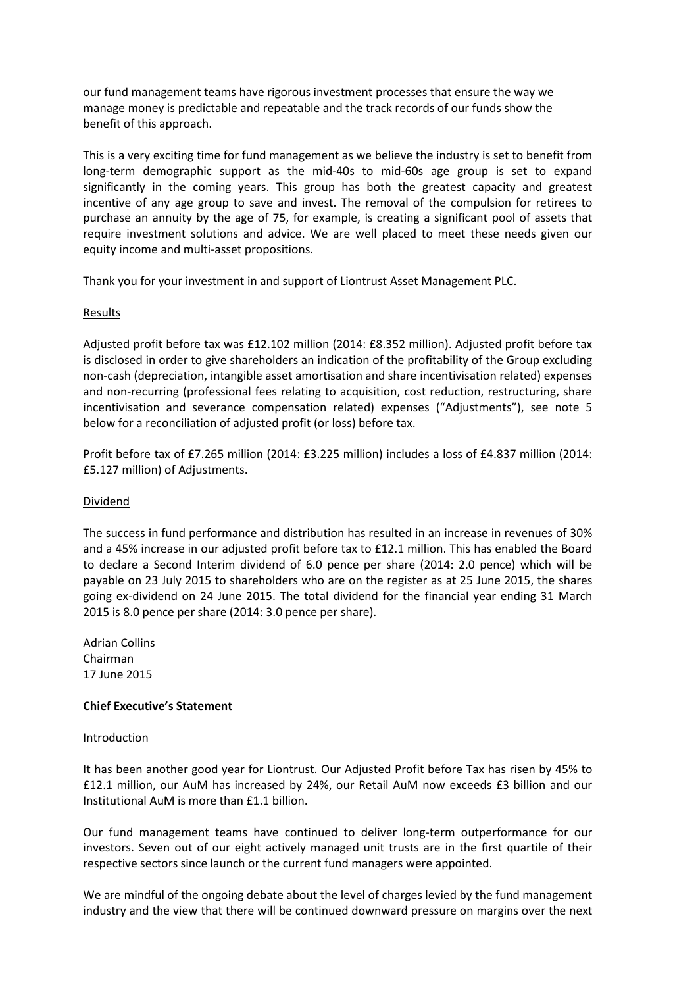our fund management teams have rigorous investment processes that ensure the way we manage money is predictable and repeatable and the track records of our funds show the benefit of this approach.

This is a very exciting time for fund management as we believe the industry is set to benefit from long-term demographic support as the mid-40s to mid-60s age group is set to expand significantly in the coming years. This group has both the greatest capacity and greatest incentive of any age group to save and invest. The removal of the compulsion for retirees to purchase an annuity by the age of 75, for example, is creating a significant pool of assets that require investment solutions and advice. We are well placed to meet these needs given our equity income and multi-asset propositions.

Thank you for your investment in and support of Liontrust Asset Management PLC.

## **Results**

Adjusted profit before tax was £12.102 million (2014: £8.352 million). Adjusted profit before tax is disclosed in order to give shareholders an indication of the profitability of the Group excluding non-cash (depreciation, intangible asset amortisation and share incentivisation related) expenses and non-recurring (professional fees relating to acquisition, cost reduction, restructuring, share incentivisation and severance compensation related) expenses ("Adjustments"), see note 5 below for a reconciliation of adjusted profit (or loss) before tax.

Profit before tax of £7.265 million (2014: £3.225 million) includes a loss of £4.837 million (2014: £5.127 million) of Adjustments.

## Dividend

The success in fund performance and distribution has resulted in an increase in revenues of 30% and a 45% increase in our adjusted profit before tax to £12.1 million. This has enabled the Board to declare a Second Interim dividend of 6.0 pence per share (2014: 2.0 pence) which will be payable on 23 July 2015 to shareholders who are on the register as at 25 June 2015, the shares going ex-dividend on 24 June 2015. The total dividend for the financial year ending 31 March 2015 is 8.0 pence per share (2014: 3.0 pence per share).

Adrian Collins Chairman 17 June 2015

### **Chief Executive's Statement**

### Introduction

It has been another good year for Liontrust. Our Adjusted Profit before Tax has risen by 45% to £12.1 million, our AuM has increased by 24%, our Retail AuM now exceeds £3 billion and our Institutional AuM is more than £1.1 billion.

Our fund management teams have continued to deliver long-term outperformance for our investors. Seven out of our eight actively managed unit trusts are in the first quartile of their respective sectors since launch or the current fund managers were appointed.

We are mindful of the ongoing debate about the level of charges levied by the fund management industry and the view that there will be continued downward pressure on margins over the next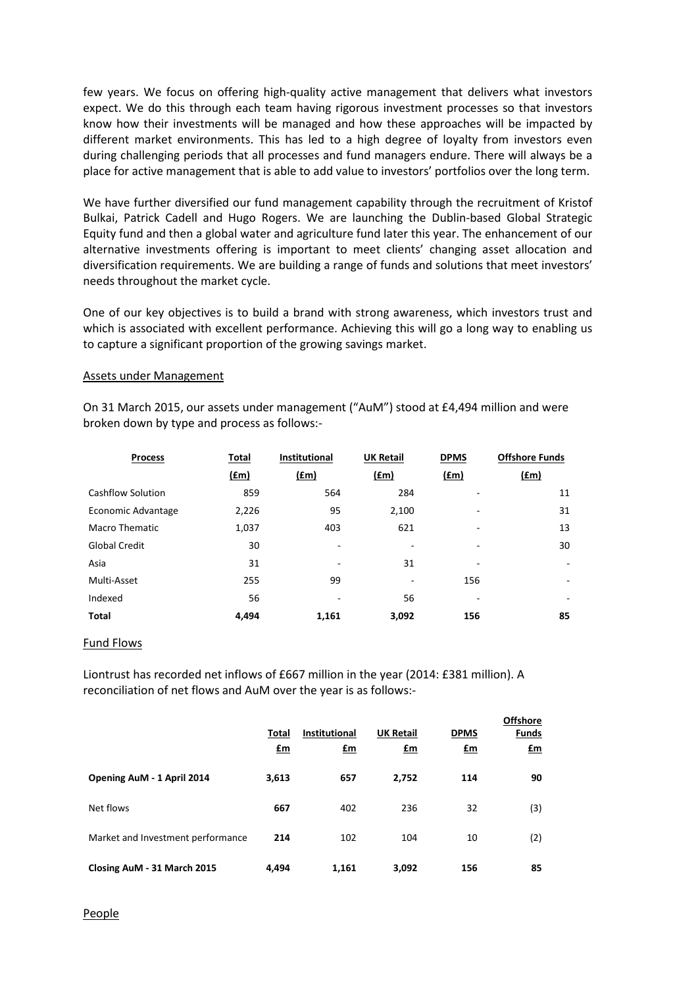few years. We focus on offering high-quality active management that delivers what investors expect. We do this through each team having rigorous investment processes so that investors know how their investments will be managed and how these approaches will be impacted by different market environments. This has led to a high degree of loyalty from investors even during challenging periods that all processes and fund managers endure. There will always be a place for active management that is able to add value to investors' portfolios over the long term.

We have further diversified our fund management capability through the recruitment of Kristof Bulkai, Patrick Cadell and Hugo Rogers. We are launching the Dublin-based Global Strategic Equity fund and then a global water and agriculture fund later this year. The enhancement of our alternative investments offering is important to meet clients' changing asset allocation and diversification requirements. We are building a range of funds and solutions that meet investors' needs throughout the market cycle.

One of our key objectives is to build a brand with strong awareness, which investors trust and which is associated with excellent performance. Achieving this will go a long way to enabling us to capture a significant proportion of the growing savings market.

#### Assets under Management

On 31 March 2015, our assets under management ("AuM") stood at £4,494 million and were broken down by type and process as follows:-

| <b>Process</b>        | Total         | <b>Institutional</b>     | <b>UK Retail</b> | <b>DPMS</b>              | <b>Offshore Funds</b>    |
|-----------------------|---------------|--------------------------|------------------|--------------------------|--------------------------|
|                       | $(\text{fm})$ | <u>(£m)</u>              | f(m)             | (fm)                     | <u>(fm)</u>              |
| Cashflow Solution     | 859           | 564                      | 284              |                          | 11                       |
| Economic Advantage    | 2,226         | 95                       | 2,100            |                          | 31                       |
| <b>Macro Thematic</b> | 1,037         | 403                      | 621              | ۰                        | 13                       |
| <b>Global Credit</b>  | 30            | $\overline{\phantom{a}}$ |                  | $\overline{\phantom{a}}$ | 30                       |
| Asia                  | 31            | ۰                        | 31               | ۰                        | $\overline{\phantom{0}}$ |
| Multi-Asset           | 255           | 99                       | ۰                | 156                      | $\overline{\phantom{0}}$ |
| Indexed               | 56            | ۰                        | 56               | -                        | ۰                        |
| Total                 | 4.494         | 1,161                    | 3,092            | 156                      | 85                       |

#### Fund Flows

Liontrust has recorded net inflows of £667 million in the year (2014: £381 million). A reconciliation of net flows and AuM over the year is as follows:-

|                                   | Total<br>$\mathbf{f}$ m | <b>Institutional</b><br>£m | <b>UK Retail</b><br>$fm$ | <b>DPMS</b><br>$\mathbf{f}$ m | <b>Offshore</b><br><b>Funds</b><br>£m |
|-----------------------------------|-------------------------|----------------------------|--------------------------|-------------------------------|---------------------------------------|
| Opening AuM - 1 April 2014        | 3,613                   | 657                        | 2,752                    | 114                           | 90                                    |
| Net flows                         | 667                     | 402                        | 236                      | 32                            | (3)                                   |
| Market and Investment performance | 214                     | 102                        | 104                      | 10                            | (2)                                   |
| Closing AuM - 31 March 2015       | 4.494                   | 1,161                      | 3,092                    | 156                           | 85                                    |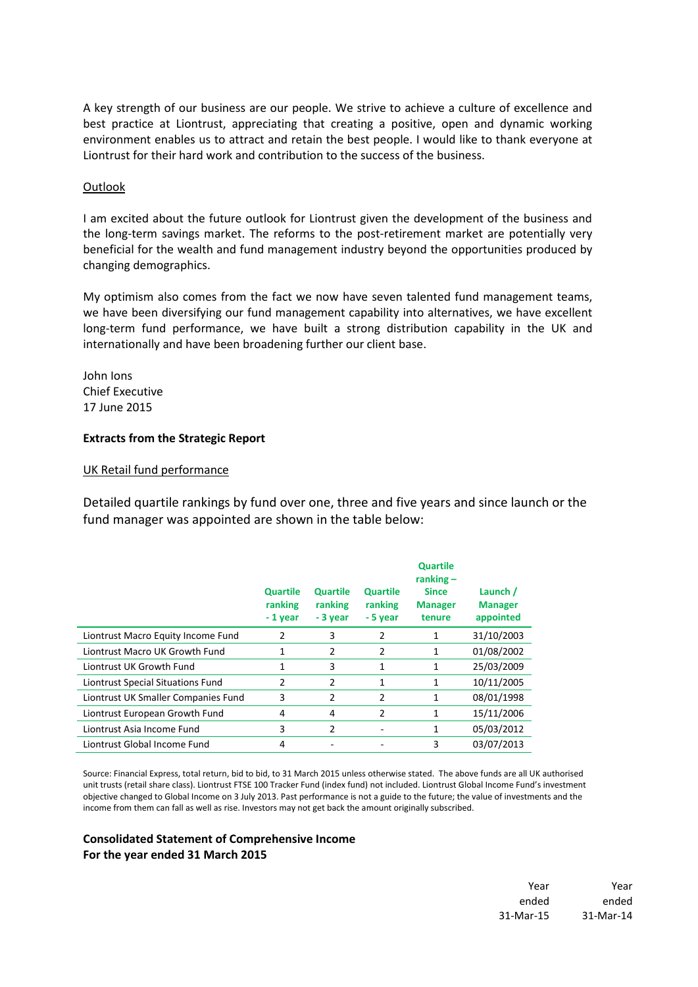A key strength of our business are our people. We strive to achieve a culture of excellence and best practice at Liontrust, appreciating that creating a positive, open and dynamic working environment enables us to attract and retain the best people. I would like to thank everyone at Liontrust for their hard work and contribution to the success of the business.

### **Outlook**

I am excited about the future outlook for Liontrust given the development of the business and the long-term savings market. The reforms to the post-retirement market are potentially very beneficial for the wealth and fund management industry beyond the opportunities produced by changing demographics.

My optimism also comes from the fact we now have seven talented fund management teams, we have been diversifying our fund management capability into alternatives, we have excellent long-term fund performance, we have built a strong distribution capability in the UK and internationally and have been broadening further our client base.

John Ions Chief Executive 17 June 2015

### **Extracts from the Strategic Report**

### UK Retail fund performance

Detailed quartile rankings by fund over one, three and five years and since launch or the fund manager was appointed are shown in the table below:

|                                     | <b>Quartile</b><br>ranking<br>- 1 year | <b>Quartile</b><br>ranking<br>- 3 year | <b>Quartile</b><br>ranking<br>- 5 year | <b>Quartile</b><br>ranking $-$<br><b>Since</b><br><b>Manager</b><br>tenure | Launch /<br><b>Manager</b><br>appointed |
|-------------------------------------|----------------------------------------|----------------------------------------|----------------------------------------|----------------------------------------------------------------------------|-----------------------------------------|
| Liontrust Macro Equity Income Fund  | 2                                      | 3                                      | 2                                      | 1                                                                          | 31/10/2003                              |
| Liontrust Macro UK Growth Fund      | 1                                      | 2                                      | 2                                      | 1                                                                          | 01/08/2002                              |
| Liontrust UK Growth Fund            | 1                                      | 3                                      | 1                                      | 1                                                                          | 25/03/2009                              |
| Liontrust Special Situations Fund   | 2                                      | 2                                      | 1                                      | 1                                                                          | 10/11/2005                              |
| Liontrust UK Smaller Companies Fund | 3                                      | 2                                      | 2                                      | 1                                                                          | 08/01/1998                              |
| Liontrust European Growth Fund      | 4                                      | 4                                      | 2                                      | 1                                                                          | 15/11/2006                              |
| Liontrust Asia Income Fund          | 3                                      | $\overline{2}$                         | ۰                                      | 1                                                                          | 05/03/2012                              |
| Liontrust Global Income Fund        | 4                                      |                                        |                                        | 3                                                                          | 03/07/2013                              |

Source: Financial Express, total return, bid to bid, to 31 March 2015 unless otherwise stated. The above funds are all UK authorised unit trusts (retail share class). Liontrust FTSE 100 Tracker Fund (index fund) not included. Liontrust Global Income Fund's investment objective changed to Global Income on 3 July 2013. Past performance is not a guide to the future; the value of investments and the income from them can fall as well as rise. Investors may not get back the amount originally subscribed.

## **Consolidated Statement of Comprehensive Income For the year ended 31 March 2015**

Year Year ended ended 31-Mar-15 31-Mar-14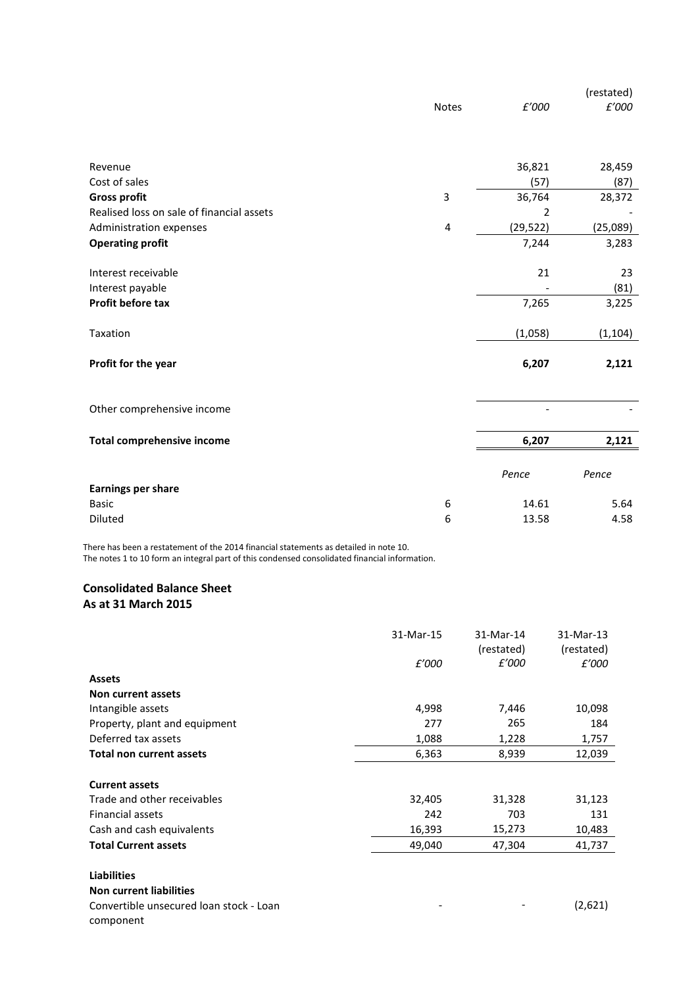|                                           | <b>Notes</b>   | £'000     | (restated)<br>£'000 |
|-------------------------------------------|----------------|-----------|---------------------|
|                                           |                |           |                     |
| Revenue                                   |                | 36,821    | 28,459              |
| Cost of sales                             |                | (57)      | (87)                |
| <b>Gross profit</b>                       | 3              | 36,764    | 28,372              |
| Realised loss on sale of financial assets |                | 2         |                     |
| Administration expenses                   | $\overline{4}$ | (29, 522) | (25,089)            |
| <b>Operating profit</b>                   |                | 7,244     | 3,283               |
|                                           |                |           |                     |
| Interest receivable                       |                | 21        | 23                  |
| Interest payable                          |                |           | (81)                |
| Profit before tax                         |                | 7,265     | 3,225               |
| Taxation                                  |                | (1,058)   | (1, 104)            |
|                                           |                |           |                     |
| Profit for the year                       |                | 6,207     | 2,121               |
|                                           |                |           |                     |
| Other comprehensive income                |                |           |                     |
| <b>Total comprehensive income</b>         |                | 6,207     | 2,121               |
| <b>Earnings per share</b>                 |                | Pence     | Pence               |
| <b>Basic</b>                              | 6              | 14.61     | 5.64                |
| Diluted                                   | 6              | 13.58     | 4.58                |

There has been a restatement of the 2014 financial statements as detailed in note 10.

The notes 1 to 10 form an integral part of this condensed consolidated financial information.

# **Consolidated Balance Sheet As at 31 March 2015**

|                                                      | 31-Mar-15<br>£'000 | 31-Mar-14<br>(restated)<br>£'000 | 31-Mar-13<br>(restated)<br>£'000 |
|------------------------------------------------------|--------------------|----------------------------------|----------------------------------|
| <b>Assets</b>                                        |                    |                                  |                                  |
| Non current assets                                   |                    |                                  |                                  |
| Intangible assets                                    | 4,998              | 7,446                            | 10,098                           |
| Property, plant and equipment                        | 277                | 265                              | 184                              |
| Deferred tax assets                                  | 1,088              | 1,228                            | 1,757                            |
| <b>Total non current assets</b>                      | 6,363              | 8,939                            | 12,039                           |
| <b>Current assets</b>                                |                    |                                  |                                  |
| Trade and other receivables                          | 32,405             | 31,328                           | 31,123                           |
| Financial assets                                     | 242                | 703                              | 131                              |
| Cash and cash equivalents                            | 16,393             | 15,273                           | 10,483                           |
| <b>Total Current assets</b>                          | 49,040             | 47,304                           | 41,737                           |
| <b>Liabilities</b>                                   |                    |                                  |                                  |
| <b>Non current liabilities</b>                       |                    |                                  |                                  |
| Convertible unsecured loan stock - Loan<br>component |                    |                                  | (2,621)                          |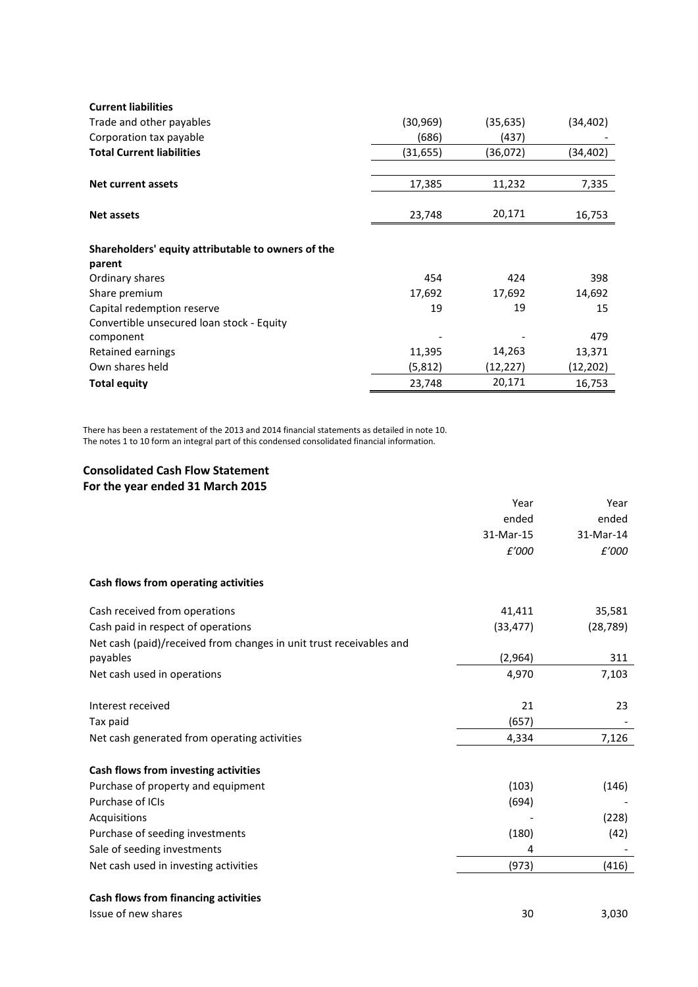| <b>Current liabilities</b>                         |           |          |           |
|----------------------------------------------------|-----------|----------|-----------|
| Trade and other payables                           | (30, 969) | (35,635) | (34,402)  |
| Corporation tax payable                            | (686)     | (437)    |           |
| <b>Total Current liabilities</b>                   | (31, 655) | (36,072) | (34, 402) |
|                                                    |           |          |           |
| Net current assets                                 | 17,385    | 11,232   | 7,335     |
|                                                    |           |          |           |
| <b>Net assets</b>                                  | 23,748    | 20,171   | 16,753    |
|                                                    |           |          |           |
| Shareholders' equity attributable to owners of the |           |          |           |
| parent                                             |           |          |           |
| Ordinary shares                                    | 454       | 424      | 398       |
| Share premium                                      | 17,692    | 17,692   | 14,692    |
| Capital redemption reserve                         | 19        | 19       | 15        |
| Convertible unsecured loan stock - Equity          |           |          |           |
| component                                          |           |          | 479       |
| Retained earnings                                  | 11,395    | 14,263   | 13,371    |
| Own shares held                                    | (5, 812)  | (12,227) | (12, 202) |
| <b>Total equity</b>                                | 23,748    | 20,171   | 16,753    |

There has been a restatement of the 2013 and 2014 financial statements as detailed in note 10. The notes 1 to 10 form an integral part of this condensed consolidated financial information.

# **Consolidated Cash Flow Statement**

# **For the year ended 31 March 2015**

|                                                                                                                | Year<br>ended<br>31-Mar-15<br>£'000 | Year<br>ended<br>31-Mar-14<br>£'000 |
|----------------------------------------------------------------------------------------------------------------|-------------------------------------|-------------------------------------|
| Cash flows from operating activities                                                                           |                                     |                                     |
| Cash received from operations<br>Cash paid in respect of operations                                            | 41,411<br>(33, 477)                 | 35,581<br>(28, 789)                 |
| Net cash (paid)/received from changes in unit trust receivables and<br>payables                                | (2,964)                             | 311                                 |
| Net cash used in operations                                                                                    | 4,970                               | 7,103                               |
| Interest received<br>Tax paid                                                                                  | 21<br>(657)                         | 23                                  |
| Net cash generated from operating activities                                                                   | 4,334                               | 7,126                               |
| Cash flows from investing activities<br>Purchase of property and equipment<br>Purchase of ICIs<br>Acquisitions | (103)<br>(694)                      | (146)<br>(228)                      |
| Purchase of seeding investments                                                                                | (180)                               | (42)                                |
| Sale of seeding investments<br>Net cash used in investing activities                                           | 4<br>(973)                          | (416)                               |
| Cash flows from financing activities<br>Issue of new shares                                                    | 30                                  | 3,030                               |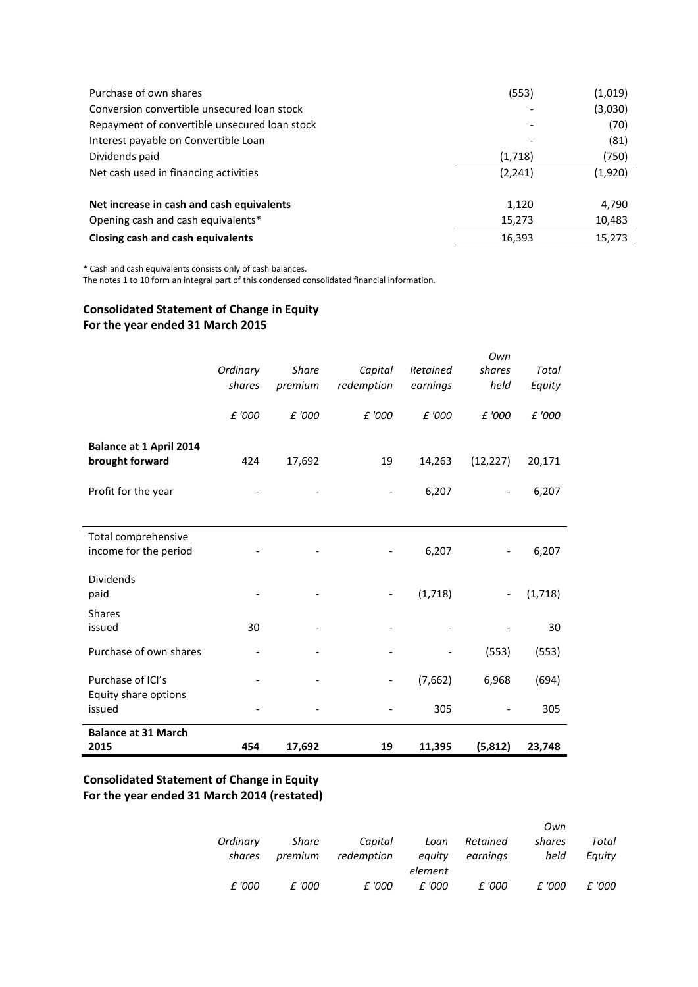| Purchase of own shares                        | (553)    | (1,019) |
|-----------------------------------------------|----------|---------|
| Conversion convertible unsecured loan stock   |          | (3,030) |
| Repayment of convertible unsecured loan stock |          | (70)    |
| Interest payable on Convertible Loan          |          | (81)    |
| Dividends paid                                | (1,718)  | (750)   |
| Net cash used in financing activities         | (2, 241) | (1,920) |
| Net increase in cash and cash equivalents     | 1,120    | 4,790   |
| Opening cash and cash equivalents*            | 15,273   | 10,483  |
| Closing cash and cash equivalents             | 16,393   | 15,273  |

\* Cash and cash equivalents consists only of cash balances.

The notes 1 to 10 form an integral part of this condensed consolidated financial information.

# **Consolidated Statement of Change in Equity For the year ended 31 March 2015**

| <b>Balance at 31 March</b><br>2015                | 454                | 17,692                  | 19                       | 11,395               | (5, 812)              | 23,748          |
|---------------------------------------------------|--------------------|-------------------------|--------------------------|----------------------|-----------------------|-----------------|
| Equity share options<br>issued                    |                    |                         |                          | 305                  |                       | 305             |
| Purchase of ICI's                                 |                    |                         | $\overline{\phantom{0}}$ | (7,662)              | 6,968                 | (694)           |
| Purchase of own shares                            |                    |                         |                          |                      | (553)                 | (553)           |
| <b>Shares</b><br>issued                           | 30                 |                         |                          |                      |                       | 30              |
| <b>Dividends</b><br>paid                          |                    |                         | $\overline{\phantom{0}}$ | (1,718)              |                       | (1,718)         |
| Total comprehensive<br>income for the period      |                    |                         |                          | 6,207                |                       | 6,207           |
| Profit for the year                               |                    |                         |                          | 6,207                |                       | 6,207           |
| <b>Balance at 1 April 2014</b><br>brought forward | 424                | 17,692                  | 19                       | 14,263               | (12, 227)             | 20,171          |
|                                                   | £ '000             | £ '000                  | £ '000                   | £ '000               | £ '000                | £ '000          |
|                                                   | Ordinary<br>shares | <b>Share</b><br>premium | Capital<br>redemption    | Retained<br>earnings | Own<br>shares<br>held | Total<br>Equity |

# **Consolidated Statement of Change in Equity For the year ended 31 March 2014 (restated)**

|          |         |            |         |          | Own    |        |
|----------|---------|------------|---------|----------|--------|--------|
| Ordinary | Share   | Capital    | Loan    | Retained | shares | Total  |
| shares   | premium | redemption | equity  | earninas | held   | Eauity |
|          |         |            | element |          |        |        |
| £ '000   | £ '000  | £ '000     | £ '000  | £ '000   | £ '000 | £ '000 |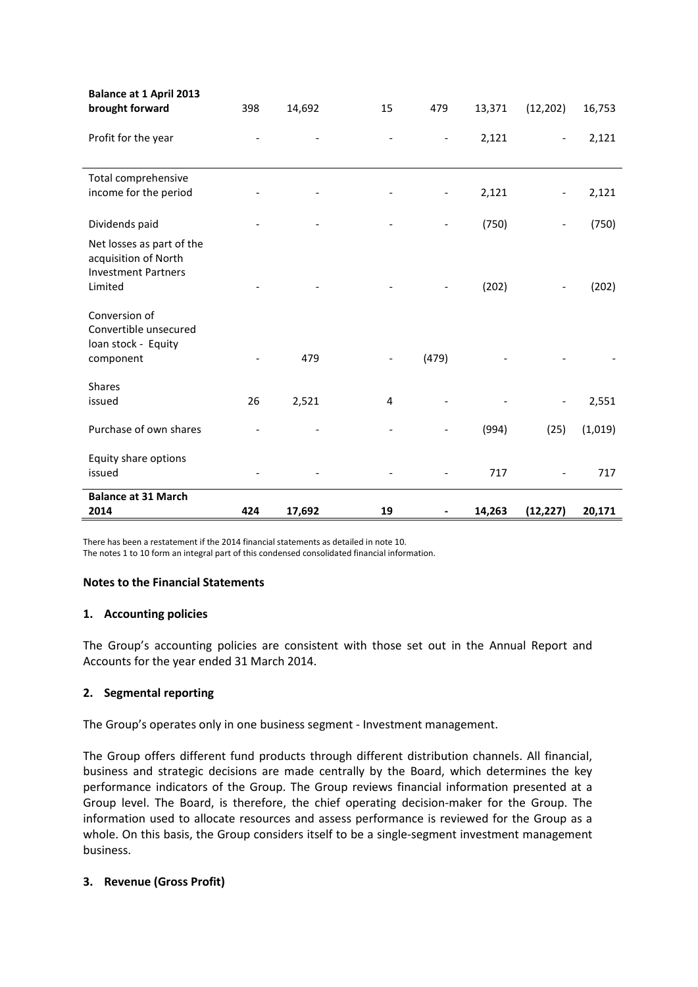| <b>Balance at 1 April 2013</b><br>brought forward                               | 398 | 14,692 | 15 | 479                          | 13,371 | (12, 202) | 16,753  |
|---------------------------------------------------------------------------------|-----|--------|----|------------------------------|--------|-----------|---------|
|                                                                                 |     |        |    |                              |        |           |         |
| Profit for the year                                                             |     |        |    | $\qquad \qquad \blacksquare$ | 2,121  |           | 2,121   |
|                                                                                 |     |        |    |                              |        |           |         |
| Total comprehensive                                                             |     |        |    |                              |        |           |         |
| income for the period                                                           |     |        |    |                              | 2,121  |           | 2,121   |
| Dividends paid                                                                  |     |        |    | $\qquad \qquad \blacksquare$ | (750)  |           | (750)   |
| Net losses as part of the<br>acquisition of North<br><b>Investment Partners</b> |     |        |    |                              |        |           |         |
| Limited                                                                         |     |        |    |                              | (202)  |           | (202)   |
| Conversion of<br>Convertible unsecured<br>loan stock - Equity                   |     |        |    |                              |        |           |         |
| component                                                                       |     | 479    |    | (479)                        |        |           |         |
| <b>Shares</b>                                                                   |     |        |    |                              |        |           |         |
| issued                                                                          | 26  | 2,521  | 4  |                              |        |           | 2,551   |
| Purchase of own shares                                                          |     |        |    |                              | (994)  | (25)      | (1,019) |
| Equity share options<br>issued                                                  |     |        |    |                              | 717    |           | 717     |
| <b>Balance at 31 March</b><br>2014                                              | 424 | 17,692 | 19 |                              | 14,263 | (12, 227) | 20,171  |

There has been a restatement if the 2014 financial statements as detailed in note 10.

The notes 1 to 10 form an integral part of this condensed consolidated financial information.

# **Notes to the Financial Statements**

## **1. Accounting policies**

The Group's accounting policies are consistent with those set out in the Annual Report and Accounts for the year ended 31 March 2014.

# **2. Segmental reporting**

The Group's operates only in one business segment - Investment management.

The Group offers different fund products through different distribution channels. All financial, business and strategic decisions are made centrally by the Board, which determines the key performance indicators of the Group. The Group reviews financial information presented at a Group level. The Board, is therefore, the chief operating decision-maker for the Group. The information used to allocate resources and assess performance is reviewed for the Group as a whole. On this basis, the Group considers itself to be a single-segment investment management business.

# **3. Revenue (Gross Profit)**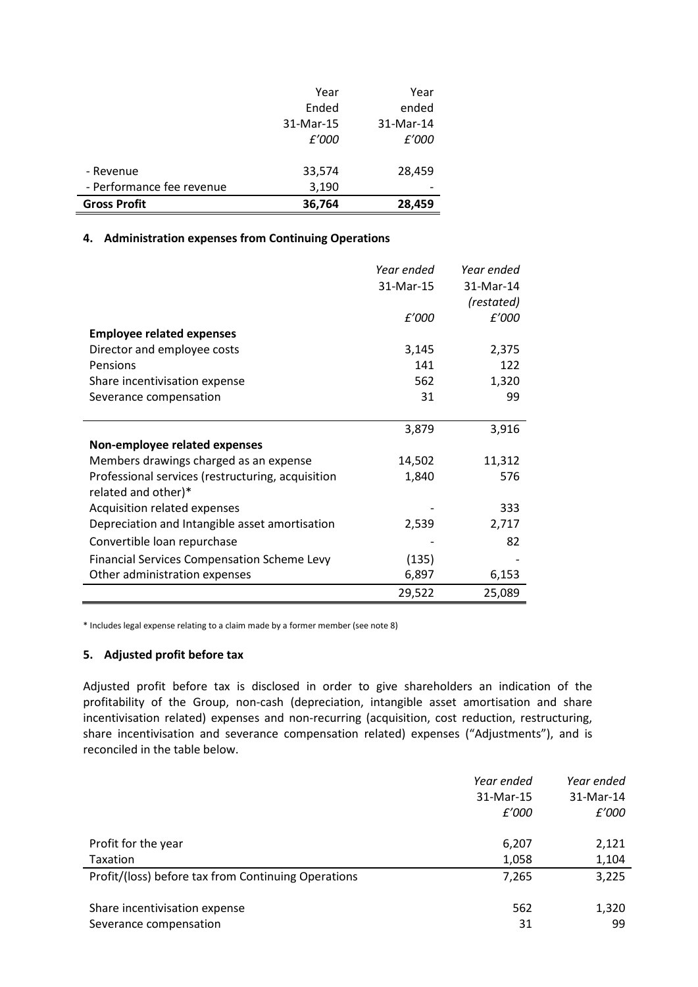|                           | Year      | Year      |
|---------------------------|-----------|-----------|
|                           | Ended     | ended     |
|                           | 31-Mar-15 | 31-Mar-14 |
|                           | £'000     | £'000     |
|                           |           |           |
| - Revenue                 | 33,574    | 28,459    |
| - Performance fee revenue | 3,190     |           |
| <b>Gross Profit</b>       | 36,764    | 28,459    |

### **4. Administration expenses from Continuing Operations**

|                                                    | Year ended | Year ended |
|----------------------------------------------------|------------|------------|
|                                                    | 31-Mar-15  | 31-Mar-14  |
|                                                    |            | (restated) |
|                                                    | £'000      | £'000      |
| <b>Employee related expenses</b>                   |            |            |
| Director and employee costs                        | 3,145      | 2,375      |
| Pensions                                           | 141        | 122        |
| Share incentivisation expense                      | 562        | 1,320      |
| Severance compensation                             | 31         | 99         |
|                                                    |            |            |
|                                                    | 3,879      | 3,916      |
| Non-employee related expenses                      |            |            |
| Members drawings charged as an expense             | 14,502     | 11,312     |
| Professional services (restructuring, acquisition  | 1,840      | 576        |
| related and other)*                                |            |            |
| Acquisition related expenses                       |            | 333        |
| Depreciation and Intangible asset amortisation     | 2,539      | 2,717      |
| Convertible loan repurchase                        |            | 82         |
| <b>Financial Services Compensation Scheme Levy</b> | (135)      |            |
| Other administration expenses                      | 6,897      | 6,153      |
|                                                    | 29,522     | 25,089     |

\* Includes legal expense relating to a claim made by a former member (see note 8)

### **5. Adjusted profit before tax**

Adjusted profit before tax is disclosed in order to give shareholders an indication of the profitability of the Group, non-cash (depreciation, intangible asset amortisation and share incentivisation related) expenses and non-recurring (acquisition, cost reduction, restructuring, share incentivisation and severance compensation related) expenses ("Adjustments"), and is reconciled in the table below.

|                                                     | Year ended<br>31-Mar-15<br>£'000 | Year ended<br>31-Mar-14<br>£'000 |
|-----------------------------------------------------|----------------------------------|----------------------------------|
| Profit for the year                                 | 6,207                            | 2,121                            |
| <b>Taxation</b>                                     | 1,058                            | 1,104                            |
| Profit/(loss) before tax from Continuing Operations | 7,265                            | 3,225                            |
| Share incentivisation expense                       | 562                              | 1,320                            |
| Severance compensation                              | 31                               | 99                               |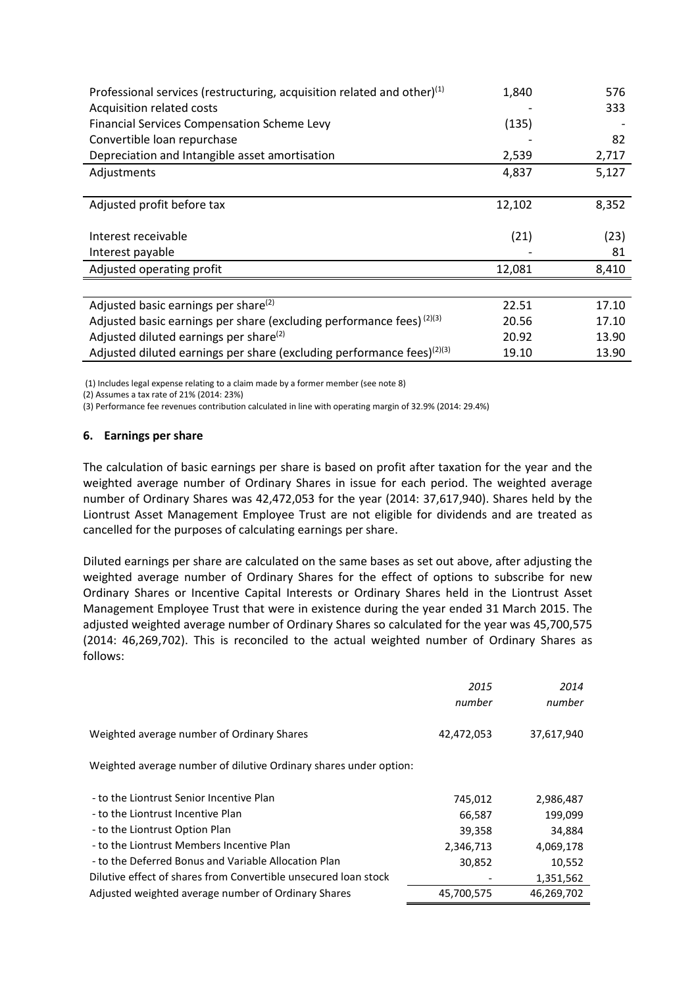| Professional services (restructuring, acquisition related and other) $(1)$ | 1,840  | 576   |
|----------------------------------------------------------------------------|--------|-------|
| Acquisition related costs                                                  |        | 333   |
| <b>Financial Services Compensation Scheme Levy</b>                         | (135)  |       |
| Convertible loan repurchase                                                |        | 82    |
| Depreciation and Intangible asset amortisation                             | 2,539  | 2,717 |
| Adjustments                                                                | 4,837  | 5,127 |
|                                                                            |        |       |
| Adjusted profit before tax                                                 | 12,102 | 8,352 |
|                                                                            |        |       |
| Interest receivable                                                        | (21)   | (23)  |
| Interest payable                                                           |        | 81    |
| Adjusted operating profit                                                  | 12,081 | 8,410 |
|                                                                            |        |       |
| Adjusted basic earnings per share <sup>(2)</sup>                           | 22.51  | 17.10 |
| Adjusted basic earnings per share (excluding performance fees) (2)(3)      | 20.56  | 17.10 |
| Adjusted diluted earnings per share <sup>(2)</sup>                         | 20.92  | 13.90 |
| Adjusted diluted earnings per share (excluding performance fees) $(2)(3)$  | 19.10  | 13.90 |

(1) Includes legal expense relating to a claim made by a former member (see note 8)

(2) Assumes a tax rate of 21% (2014: 23%)

(3) Performance fee revenues contribution calculated in line with operating margin of 32.9% (2014: 29.4%)

### **6. Earnings per share**

The calculation of basic earnings per share is based on profit after taxation for the year and the weighted average number of Ordinary Shares in issue for each period. The weighted average number of Ordinary Shares was 42,472,053 for the year (2014: 37,617,940). Shares held by the Liontrust Asset Management Employee Trust are not eligible for dividends and are treated as cancelled for the purposes of calculating earnings per share.

Diluted earnings per share are calculated on the same bases as set out above, after adjusting the weighted average number of Ordinary Shares for the effect of options to subscribe for new Ordinary Shares or Incentive Capital Interests or Ordinary Shares held in the Liontrust Asset Management Employee Trust that were in existence during the year ended 31 March 2015. The adjusted weighted average number of Ordinary Shares so calculated for the year was 45,700,575 (2014: 46,269,702). This is reconciled to the actual weighted number of Ordinary Shares as follows:

|                                                                   | 2015<br>number | 2014<br>number |
|-------------------------------------------------------------------|----------------|----------------|
| Weighted average number of Ordinary Shares                        | 42,472,053     | 37,617,940     |
| Weighted average number of dilutive Ordinary shares under option: |                |                |
| - to the Liontrust Senior Incentive Plan                          | 745,012        | 2,986,487      |
| - to the Liontrust Incentive Plan                                 | 66,587         | 199,099        |
| - to the Liontrust Option Plan                                    | 39,358         | 34,884         |
| - to the Liontrust Members Incentive Plan                         | 2,346,713      | 4,069,178      |
| - to the Deferred Bonus and Variable Allocation Plan              | 30,852         | 10,552         |
| Dilutive effect of shares from Convertible unsecured loan stock   |                | 1,351,562      |
| Adjusted weighted average number of Ordinary Shares               | 45,700,575     | 46,269,702     |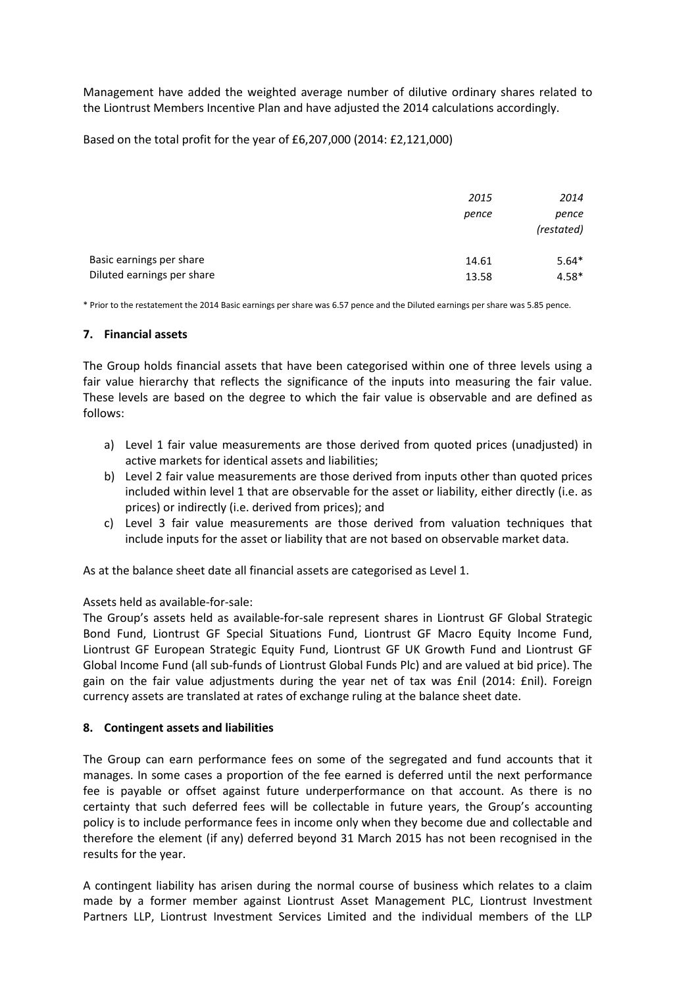Management have added the weighted average number of dilutive ordinary shares related to the Liontrust Members Incentive Plan and have adjusted the 2014 calculations accordingly.

# Based on the total profit for the year of £6,207,000 (2014: £2,121,000)

|                            | 2015  | 2014                |
|----------------------------|-------|---------------------|
|                            | pence | pence<br>(restated) |
| Basic earnings per share   | 14.61 | $5.64*$             |
| Diluted earnings per share | 13.58 | $4.58*$             |

\* Prior to the restatement the 2014 Basic earnings per share was 6.57 pence and the Diluted earnings per share was 5.85 pence.

### **7. Financial assets**

The Group holds financial assets that have been categorised within one of three levels using a fair value hierarchy that reflects the significance of the inputs into measuring the fair value. These levels are based on the degree to which the fair value is observable and are defined as follows:

- a) Level 1 fair value measurements are those derived from quoted prices (unadjusted) in active markets for identical assets and liabilities;
- b) Level 2 fair value measurements are those derived from inputs other than quoted prices included within level 1 that are observable for the asset or liability, either directly (i.e. as prices) or indirectly (i.e. derived from prices); and
- c) Level 3 fair value measurements are those derived from valuation techniques that include inputs for the asset or liability that are not based on observable market data.

As at the balance sheet date all financial assets are categorised as Level 1.

## Assets held as available-for-sale:

The Group's assets held as available-for-sale represent shares in Liontrust GF Global Strategic Bond Fund, Liontrust GF Special Situations Fund, Liontrust GF Macro Equity Income Fund, Liontrust GF European Strategic Equity Fund, Liontrust GF UK Growth Fund and Liontrust GF Global Income Fund (all sub-funds of Liontrust Global Funds Plc) and are valued at bid price). The gain on the fair value adjustments during the year net of tax was £nil (2014: £nil). Foreign currency assets are translated at rates of exchange ruling at the balance sheet date.

## **8. Contingent assets and liabilities**

The Group can earn performance fees on some of the segregated and fund accounts that it manages. In some cases a proportion of the fee earned is deferred until the next performance fee is payable or offset against future underperformance on that account. As there is no certainty that such deferred fees will be collectable in future years, the Group's accounting policy is to include performance fees in income only when they become due and collectable and therefore the element (if any) deferred beyond 31 March 2015 has not been recognised in the results for the year.

A contingent liability has arisen during the normal course of business which relates to a claim made by a former member against Liontrust Asset Management PLC, Liontrust Investment Partners LLP, Liontrust Investment Services Limited and the individual members of the LLP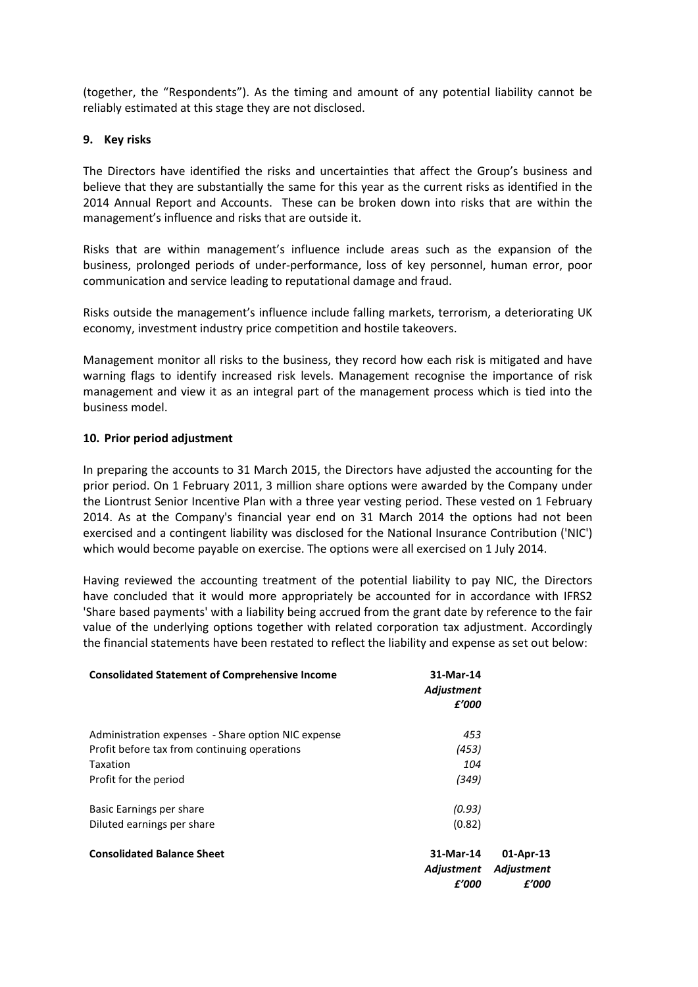(together, the "Respondents"). As the timing and amount of any potential liability cannot be reliably estimated at this stage they are not disclosed.

## **9. Key risks**

The Directors have identified the risks and uncertainties that affect the Group's business and believe that they are substantially the same for this year as the current risks as identified in the 2014 Annual Report and Accounts. These can be broken down into risks that are within the management's influence and risks that are outside it.

Risks that are within management's influence include areas such as the expansion of the business, prolonged periods of under-performance, loss of key personnel, human error, poor communication and service leading to reputational damage and fraud.

Risks outside the management's influence include falling markets, terrorism, a deteriorating UK economy, investment industry price competition and hostile takeovers.

Management monitor all risks to the business, they record how each risk is mitigated and have warning flags to identify increased risk levels. Management recognise the importance of risk management and view it as an integral part of the management process which is tied into the business model.

# **10. Prior period adjustment**

In preparing the accounts to 31 March 2015, the Directors have adjusted the accounting for the prior period. On 1 February 2011, 3 million share options were awarded by the Company under the Liontrust Senior Incentive Plan with a three year vesting period. These vested on 1 February 2014. As at the Company's financial year end on 31 March 2014 the options had not been exercised and a contingent liability was disclosed for the National Insurance Contribution ('NIC') which would become payable on exercise. The options were all exercised on 1 July 2014.

Having reviewed the accounting treatment of the potential liability to pay NIC, the Directors have concluded that it would more appropriately be accounted for in accordance with IFRS2 'Share based payments' with a liability being accrued from the grant date by reference to the fair value of the underlying options together with related corporation tax adjustment. Accordingly the financial statements have been restated to reflect the liability and expense as set out below:

| <b>Consolidated Statement of Comprehensive Income</b> | 31-Mar-14<br>Adjustment<br>£'000 |                                  |
|-------------------------------------------------------|----------------------------------|----------------------------------|
| Administration expenses - Share option NIC expense    | 453                              |                                  |
| Profit before tax from continuing operations          | (453)                            |                                  |
| Taxation                                              | 104                              |                                  |
| Profit for the period                                 | (349)                            |                                  |
| Basic Earnings per share                              | (0.93)                           |                                  |
| Diluted earnings per share                            | (0.82)                           |                                  |
| <b>Consolidated Balance Sheet</b>                     | 31-Mar-14<br>Adjustment<br>£'000 | 01-Apr-13<br>Adjustment<br>£'000 |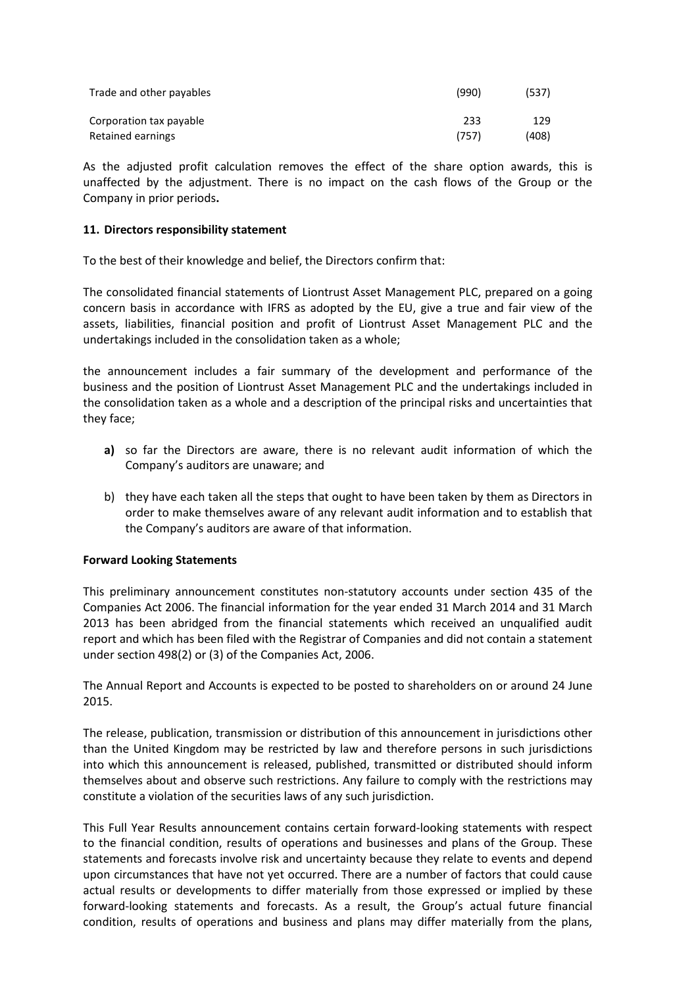| Trade and other payables | (990) | (537) |
|--------------------------|-------|-------|
| Corporation tax payable  | 233   | 129   |
| Retained earnings        | (757) | (408) |

As the adjusted profit calculation removes the effect of the share option awards, this is unaffected by the adjustment. There is no impact on the cash flows of the Group or the Company in prior periods**.**

## **11. Directors responsibility statement**

To the best of their knowledge and belief, the Directors confirm that:

The consolidated financial statements of Liontrust Asset Management PLC, prepared on a going concern basis in accordance with IFRS as adopted by the EU, give a true and fair view of the assets, liabilities, financial position and profit of Liontrust Asset Management PLC and the undertakings included in the consolidation taken as a whole;

the announcement includes a fair summary of the development and performance of the business and the position of Liontrust Asset Management PLC and the undertakings included in the consolidation taken as a whole and a description of the principal risks and uncertainties that they face;

- **a)** so far the Directors are aware, there is no relevant audit information of which the Company's auditors are unaware; and
- b) they have each taken all the steps that ought to have been taken by them as Directors in order to make themselves aware of any relevant audit information and to establish that the Company's auditors are aware of that information.

## **Forward Looking Statements**

This preliminary announcement constitutes non-statutory accounts under section 435 of the Companies Act 2006. The financial information for the year ended 31 March 2014 and 31 March 2013 has been abridged from the financial statements which received an unqualified audit report and which has been filed with the Registrar of Companies and did not contain a statement under section 498(2) or (3) of the Companies Act, 2006.

The Annual Report and Accounts is expected to be posted to shareholders on or around 24 June 2015.

The release, publication, transmission or distribution of this announcement in jurisdictions other than the United Kingdom may be restricted by law and therefore persons in such jurisdictions into which this announcement is released, published, transmitted or distributed should inform themselves about and observe such restrictions. Any failure to comply with the restrictions may constitute a violation of the securities laws of any such jurisdiction.

This Full Year Results announcement contains certain forward-looking statements with respect to the financial condition, results of operations and businesses and plans of the Group. These statements and forecasts involve risk and uncertainty because they relate to events and depend upon circumstances that have not yet occurred. There are a number of factors that could cause actual results or developments to differ materially from those expressed or implied by these forward-looking statements and forecasts. As a result, the Group's actual future financial condition, results of operations and business and plans may differ materially from the plans,